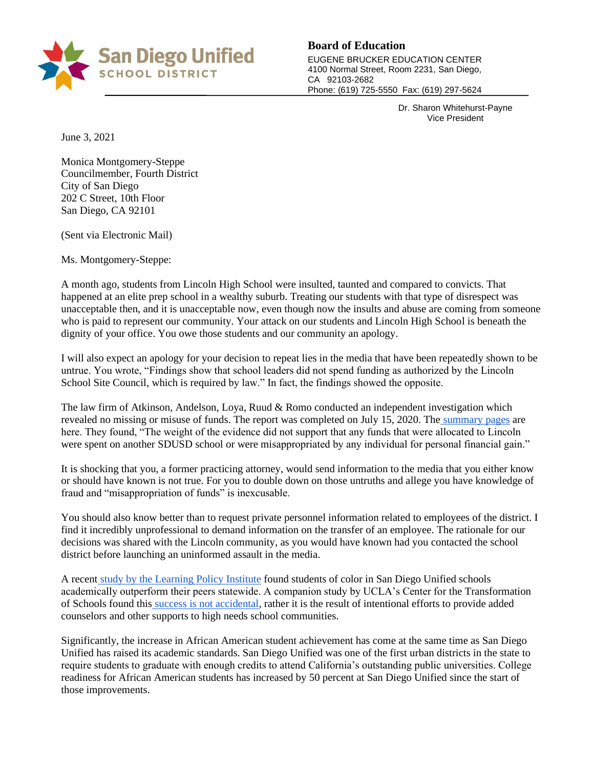

## **Board of Education**

EUGENE BRUCKER EDUCATION CENTER 4100 Normal Street, Room 2231, San Diego, CA 92103-2682 Phone: (619) 725-5550 Fax: (619) 297-5624

> Dr. Sharon Whitehurst-Payne Vice President

June 3, 2021

Monica Montgomery-Steppe Councilmember, Fourth District City of San Diego 202 C Street, 10th Floor San Diego, CA 92101

(Sent via Electronic Mail)

Ms. Montgomery-Steppe:

A month ago, students from Lincoln High School were insulted, taunted and compared to convicts. That happened at an elite prep school in a wealthy suburb. Treating our students with that type of disrespect was unacceptable then, and it is unacceptable now, even though now the insults and abuse are coming from someone who is paid to represent our community. Your attack on our students and Lincoln High School is beneath the dignity of your office. You owe those students and our community an apology.

I will also expect an apology for your decision to repeat lies in the media that have been repeatedly shown to be untrue. You wrote, "Findings show that school leaders did not spend funding as authorized by the Lincoln School Site Council, which is required by law." In fact, the findings showed the opposite.

The law firm of Atkinson, Andelson, Loya, Ruud & Romo conducted an independent investigation which revealed no missing or misuse of funds. The report was completed on July 15, 2020. The [summary pages](https://drive.google.com/file/d/1TI2KSaN8SvEORzDncplnyHYmQ7MsaskD/view?usp=sharing) are here. They found, "The weight of the evidence did not support that any funds that were allocated to Lincoln were spent on another SDUSD school or were misappropriated by any individual for personal financial gain."

It is shocking that you, a former practicing attorney, would send information to the media that you either know or should have known is not true. For you to double down on those untruths and allege you have knowledge of fraud and "misappropriation of funds" is inexcusable.

You should also know better than to request private personnel information related to employees of the district. I find it incredibly unprofessional to demand information on the transfer of an employee. The rationale for our decisions was shared with the Lincoln community, as you would have known had you contacted the school district before launching an uninformed assault in the media.

A recent [study by the Learning Policy Institute](https://learningpolicyinstitute.org/product/positive-outliers-closing-opportunity-gap-report) found students of color in San Diego Unified schools academically outperform their peers statewide. A companion study by UCLA's Center for the Transformation of Schools found this [success is not accidental,](http://transformschools.ucla.edu/case-study-san-diego-unified-school-district/) rather it is the result of intentional efforts to provide added counselors and other supports to high needs school communities.

Significantly, the increase in African American student achievement has come at the same time as San Diego Unified has raised its academic standards. San Diego Unified was one of the first urban districts in the state to require students to graduate with enough credits to attend California's outstanding public universities. College readiness for African American students has increased by 50 percent at San Diego Unified since the start of those improvements.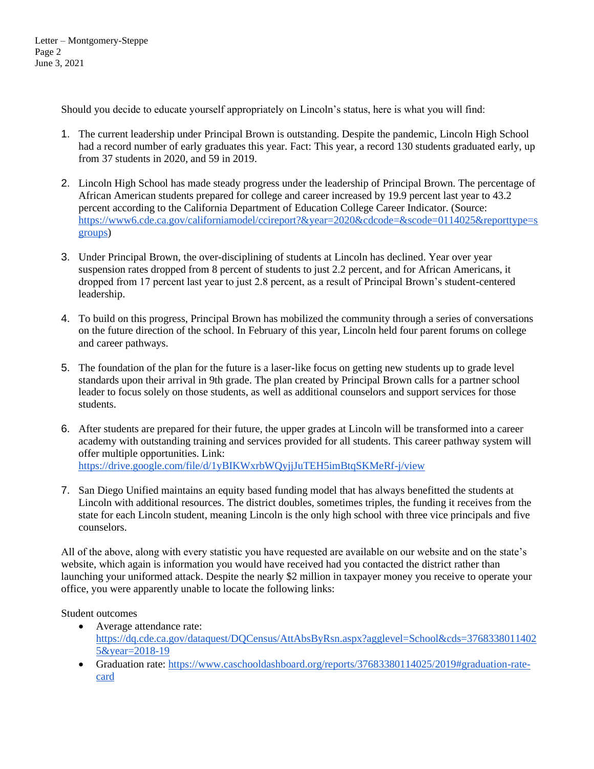Should you decide to educate yourself appropriately on Lincoln's status, here is what you will find:

- 1. The current leadership under Principal Brown is outstanding. Despite the pandemic, Lincoln High School had a record number of early graduates this year. Fact: This year, a record 130 students graduated early, up from 37 students in 2020, and 59 in 2019.
- 2. Lincoln High School has made steady progress under the leadership of Principal Brown. The percentage of African American students prepared for college and career increased by 19.9 percent last year to 43.2 percent according to the California Department of Education College Career Indicator. (Source: [https://www6.cde.ca.gov/californiamodel/ccireport?&year=2020&cdcode=&scode=0114025&reporttype=s](https://www6.cde.ca.gov/californiamodel/ccireport?&year=2020&cdcode=&scode=0114025&reporttype=sgroups) [groups\)](https://www6.cde.ca.gov/californiamodel/ccireport?&year=2020&cdcode=&scode=0114025&reporttype=sgroups)
- 3. Under Principal Brown, the over-disciplining of students at Lincoln has declined. Year over year suspension rates dropped from 8 percent of students to just 2.2 percent, and for African Americans, it dropped from 17 percent last year to just 2.8 percent, as a result of Principal Brown's student-centered leadership.
- 4. To build on this progress, Principal Brown has mobilized the community through a series of conversations on the future direction of the school. In February of this year, Lincoln held four parent forums on college and career pathways.
- 5. The foundation of the plan for the future is a laser-like focus on getting new students up to grade level standards upon their arrival in 9th grade. The plan created by Principal Brown calls for a partner school leader to focus solely on those students, as well as additional counselors and support services for those students.
- 6. After students are prepared for their future, the upper grades at Lincoln will be transformed into a career academy with outstanding training and services provided for all students. This career pathway system will offer multiple opportunities. Link: <https://drive.google.com/file/d/1yBIKWxrbWQyjjJuTEH5imBtqSKMeRf-j/view>
- 7. San Diego Unified maintains an equity based funding model that has always benefitted the students at Lincoln with additional resources. The district doubles, sometimes triples, the funding it receives from the state for each Lincoln student, meaning Lincoln is the only high school with three vice principals and five counselors.

All of the above, along with every statistic you have requested are available on our website and on the state's website, which again is information you would have received had you contacted the district rather than launching your uniformed attack. Despite the nearly \$2 million in taxpayer money you receive to operate your office, you were apparently unable to locate the following links:

Student outcomes

- Average attendance rate: [https://dq.cde.ca.gov/dataquest/DQCensus/AttAbsByRsn.aspx?agglevel=School&cds=3768338011402](https://dq.cde.ca.gov/dataquest/DQCensus/AttAbsByRsn.aspx?agglevel=School&cds=37683380114025&year=2018-19) [5&year=2018-19](https://dq.cde.ca.gov/dataquest/DQCensus/AttAbsByRsn.aspx?agglevel=School&cds=37683380114025&year=2018-19)
- Graduation rate: [https://www.caschooldashboard.org/reports/37683380114025/2019#graduation-rate](https://www.caschooldashboard.org/reports/37683380114025/2019#graduation-rate-card)[card](https://www.caschooldashboard.org/reports/37683380114025/2019#graduation-rate-card)